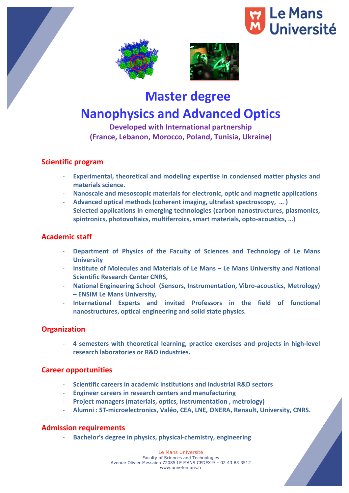





# **Master degree**

# **Nanophysics and Advanced Optics**

# **Developed with International partnership (France, Lebanon, Morocco, Poland, Tunisia, Ukraine)**

## **Scientific program**

- **Experimental, theoretical and modeling expertise in condensed matter physics and materials science.**
- **Nanoscale and mesoscopic materials for electronic, optic and magnetic applications**
- **Advanced optical methods (coherent imaging, ultrafast spectroscopy, … )**
- Selected applications in emerging technologies (carbon nanostructures, plasmonics, spintronics, photovoltaics, multiferroics, smart materials, opto-acoustics, ...)

# **Academic staff**

- **Department of Physics of the Faculty of Sciences and Technology of Le Mans University**
- **Institute of Molecules and Materials of Le Mans Le Mans University and National Scientific Research Center CNRS.**
- **National Engineering School (Sensors, Instrumentation, Vibro-acoustics, Metrology) – ENSIM Le Mans University,**
- **International Experts and invited Professors in the field of functional nanostructures, optical engineering and solid state physics.**

## **Organization**

- **4 semesters with theoretical learning, practice exercises and projects in high-level research laboratories or R&D industries.**

## **Career opportunities**

- **Scientific careers in academic institutions and industrial R&D sectors**
- **Engineer careers in research centers and manufacturing**
- **Project managers (materials, optics, instrumentation, metrology)**
- Alumni : ST-microelectronics, Valéo, CEA, LNE, ONERA, Renault, University, CNRS.

## **Admission requirements**

- **Bachelor's degree in physics, physical-chemistry, engineering**

Le Mans Université Faculty of Sciences and Technologies Avenue Olivier Messaien 72085 LE MANS CEDEX 9 – 02 43 83 3512 www.univ-lemans.fr